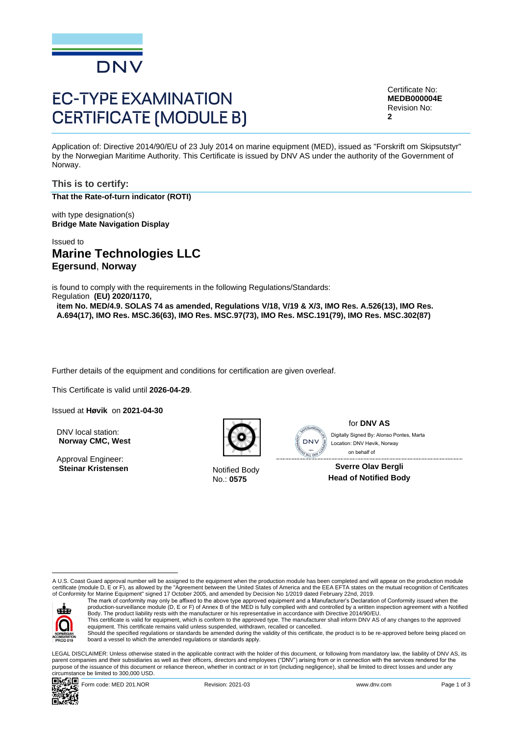

# **EC-TYPE EXAMINATION CERTIFICATE (MODULE B)**

Certificate No: **MEDB000004E** Revision No: **2**

Application of: Directive 2014/90/EU of 23 July 2014 on marine equipment (MED), issued as "Forskrift om Skipsutstyr" by the Norwegian Maritime Authority. This Certificate is issued by DNV AS under the authority of the Government of Norway.

**This is to certify: That the Rate-of-turn indicator (ROTI)**

with type designation(s) **Bridge Mate Navigation Display**

Issued to **Marine Technologies LLC Egersund**, **Norway**

is found to comply with the requirements in the following Regulations/Standards: Regulation **(EU) 2020/1170,** 

**item No. MED/4.9. SOLAS 74 as amended, Regulations V/18, V/19 & X/3, IMO Res. A.526(13), IMO Res. A.694(17), IMO Res. MSC.36(63), IMO Res. MSC.97(73), IMO Res. MSC.191(79), IMO Res. MSC.302(87)**

Further details of the equipment and conditions for certification are given overleaf.

This Certificate is valid until **2026-04-29**.

Issued at **Høvik** on **2021-04-30**

DNV local station: **Norway CMC, West**

Approval Engineer: **Steinar Kristensen** Notified Body



No.: **0575**

**EGUARO** 

for **DNV AS** on behalf ofLocation: DNV Høvik, Norway

**Sverre Olav Bergli Head of Notified Body**

A U.S. Coast Guard approval number will be assigned to the equipment when the production module has been completed and will appear on the production module certificate (module D, E or F), as allowed by the "Agreement between the United States of America and the EEA EFTA states on the mutual recognition of Certificates<br>of Conformity for Marine Equipment" signed 17 October 2005



The mark of conformity may only be affixed to the above type approved equipment and a Manufacturer's Declaration of Conformity issued when the<br>production-surveillance module (D, E or F) of Annex B of the MED is fully compl Body. The product liability rests with the manufacturer or his representative in accordance with Directive 2014/90/EU.

This certificate is valid for equipment, which is conform to the approved type. The manufacturer shall inform DNV AS of any changes to the approved<br>equipment. This certificate remains valid unless suspended, withdrawn, rec Should the specified regulations or standards be amended during the validity of this certificate, the product is to be re-approved before being placed on board a vessel to which the amended regulations or standards apply.

LEGAL DISCLAIMER: Unless otherwise stated in the applicable contract with the holder of this document, or following from mandatory law, the liability of DNV AS, its parent companies and their subsidiaries as well as their officers, directors and employees ("DNV") arising from or in connection with the services rendered for the purpose of the issuance of this document or reliance thereon, whether in contract or in tort (including negligence), shall be limited to direct losses and under any circumstance be limited to 300,000 USD. Control and the specification of the state be limited to 300,000 USD. The state of the state be limited to 300,000 USD. The state be limited by 300,000 USD. The state of the state be limited by 300,000 USD. The state of th

回転窗口

Form code: MED 201.NOR **Revision: 2021-03** Revision: 2021-03 www.dnv.com Page 1 of 3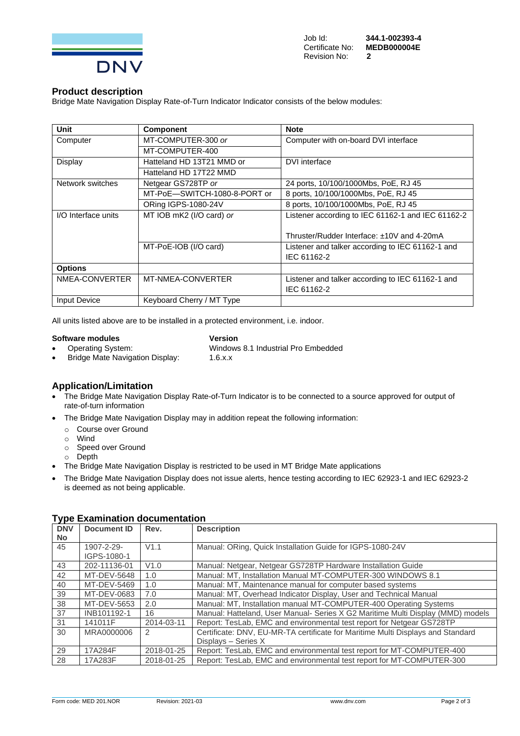

#### **Product description**

Bridge Mate Navigation Display Rate-of-Turn Indicator Indicator consists of the below modules:

| <b>Unit</b>         | <b>Component</b>             | <b>Note</b>                                       |  |
|---------------------|------------------------------|---------------------------------------------------|--|
| Computer            | MT-COMPUTER-300 or           | Computer with on-board DVI interface              |  |
|                     | MT-COMPUTER-400              |                                                   |  |
| Display             | Hatteland HD 13T21 MMD or    | DVI interface                                     |  |
|                     | Hatteland HD 17T22 MMD       |                                                   |  |
| Network switches    | Netgear GS728TP or           | 24 ports, 10/100/1000Mbs, PoE, RJ 45              |  |
|                     | MT-PoE-SWITCH-1080-8-PORT or | 8 ports, 10/100/1000Mbs, PoE, RJ 45               |  |
|                     | <b>ORing IGPS-1080-24V</b>   | 8 ports, 10/100/1000Mbs, PoE, RJ 45               |  |
| I/O Interface units | MT IOB mK2 (I/O card) or     | Listener according to IEC 61162-1 and IEC 61162-2 |  |
|                     |                              |                                                   |  |
|                     |                              | Thruster/Rudder Interface: +10V and 4-20mA        |  |
|                     | MT-PoE-IOB (I/O card)        | Listener and talker according to IEC 61162-1 and  |  |
|                     |                              | IEC 61162-2                                       |  |
| <b>Options</b>      |                              |                                                   |  |
| NMEA-CONVERTER      | MT-NMEA-CONVERTER            | Listener and talker according to IEC 61162-1 and  |  |
|                     |                              | IEC 61162-2                                       |  |
| <b>Input Device</b> | Keyboard Cherry / MT Type    |                                                   |  |

All units listed above are to be installed in a protected environment, i.e. indoor.

#### **Software modules Version**

• Operating System: Windows 8.1 Industrial Pro Embedded

• Bridge Mate Navigation Display: 1.6.x.x

## **Application/Limitation**

- The Bridge Mate Navigation Display Rate-of-Turn Indicator is to be connected to a source approved for output of rate-of-turn information
- The Bridge Mate Navigation Display may in addition repeat the following information:
	- o Course over Ground
	- o Wind
	- o Speed over Ground
	- o Depth
- The Bridge Mate Navigation Display is restricted to be used in MT Bridge Mate applications
- The Bridge Mate Navigation Display does not issue alerts, hence testing according to IEC 62923-1 and IEC 62923-2 is deemed as not being applicable.

| $\frac{1}{2}$ pc Examination accumunitation |              |            |                                                                                 |  |
|---------------------------------------------|--------------|------------|---------------------------------------------------------------------------------|--|
| <b>DNV</b>                                  | Document ID  | Rev.       | <b>Description</b>                                                              |  |
| No.                                         |              |            |                                                                                 |  |
| 45                                          | 1907-2-29-   | V1.1       | Manual: ORing, Quick Installation Guide for IGPS-1080-24V                       |  |
|                                             | IGPS-1080-1  |            |                                                                                 |  |
| 43                                          | 202-11136-01 | V1.0       | Manual: Netgear, Netgear GS728TP Hardware Installation Guide                    |  |
| 42                                          | MT-DEV-5648  | 1.0        | Manual: MT, Installation Manual MT-COMPUTER-300 WINDOWS 8.1                     |  |
| 40                                          | MT-DEV-5469  | 1.0        | Manual: MT, Maintenance manual for computer based systems                       |  |
| 39                                          | MT-DEV-0683  | 7.0        | Manual: MT, Overhead Indicator Display, User and Technical Manual               |  |
| 38                                          | MT-DEV-5653  | 2.0        | Manual: MT, Installation manual MT-COMPUTER-400 Operating Systems               |  |
| 37                                          | INB101192-1  | 16         | Manual: Hatteland, User Manual- Series X G2 Maritime Multi Display (MMD) models |  |
| 31                                          | 141011F      | 2014-03-11 | Report: TesLab, EMC and environmental test report for Netgear GS728TP           |  |
| 30                                          | MRA0000006   | 2          | Certificate: DNV, EU-MR-TA certificate for Maritime Multi Displays and Standard |  |
|                                             |              |            | Displays - Series X                                                             |  |
| 29                                          | 17A284F      | 2018-01-25 | Report: TesLab, EMC and environmental test report for MT-COMPUTER-400           |  |
| 28                                          | 17A283F      | 2018-01-25 | Report: TesLab, EMC and environmental test report for MT-COMPUTER-300           |  |

#### **Type Examination documentation**